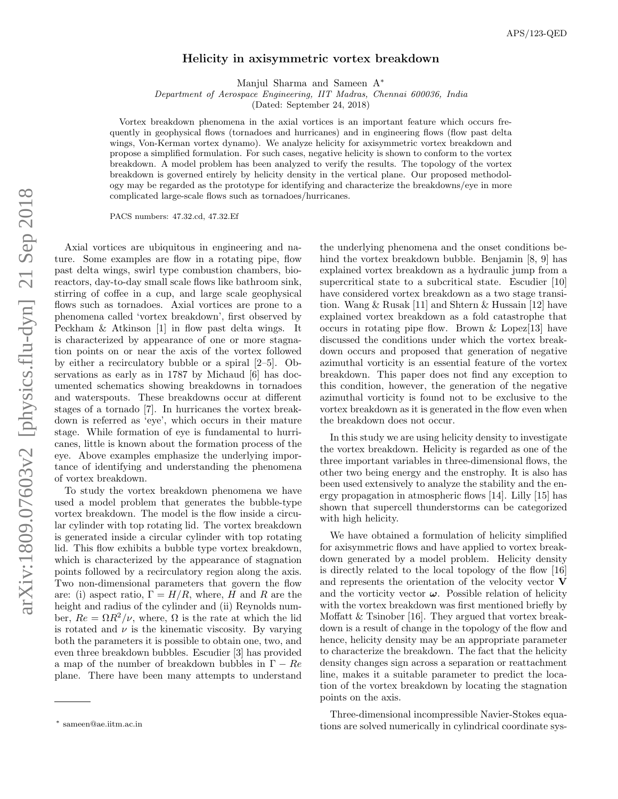## Helicity in axisymmetric vortex breakdown

Manjul Sharma and Sameen A<sup>∗</sup>

Department of Aerospace Engineering, IIT Madras, Chennai 600036, India

(Dated: September 24, 2018)

Vortex breakdown phenomena in the axial vortices is an important feature which occurs frequently in geophysical flows (tornadoes and hurricanes) and in engineering flows (flow past delta wings, Von-Kerman vortex dynamo). We analyze helicity for axisymmetric vortex breakdown and propose a simplified formulation. For such cases, negative helicity is shown to conform to the vortex breakdown. A model problem has been analyzed to verify the results. The topology of the vortex breakdown is governed entirely by helicity density in the vertical plane. Our proposed methodology may be regarded as the prototype for identifying and characterize the breakdowns/eye in more complicated large-scale flows such as tornadoes/hurricanes.

PACS numbers: 47.32.cd, 47.32.Ef

Axial vortices are ubiquitous in engineering and nature. Some examples are flow in a rotating pipe, flow past delta wings, swirl type combustion chambers, bioreactors, day-to-day small scale flows like bathroom sink, stirring of coffee in a cup, and large scale geophysical flows such as tornadoes. Axial vortices are prone to a phenomena called 'vortex breakdown', first observed by Peckham & Atkinson [1] in flow past delta wings. It is characterized by appearance of one or more stagnation points on or near the axis of the vortex followed by either a recirculatory bubble or a spiral [2–5]. Observations as early as in 1787 by Michaud [6] has documented schematics showing breakdowns in tornadoes and waterspouts. These breakdowns occur at different stages of a tornado [7]. In hurricanes the vortex breakdown is referred as 'eye', which occurs in their mature stage. While formation of eye is fundamental to hurricanes, little is known about the formation process of the eye. Above examples emphasize the underlying importance of identifying and understanding the phenomena of vortex breakdown.

To study the vortex breakdown phenomena we have used a model problem that generates the bubble-type vortex breakdown. The model is the flow inside a circular cylinder with top rotating lid. The vortex breakdown is generated inside a circular cylinder with top rotating lid. This flow exhibits a bubble type vortex breakdown, which is characterized by the appearance of stagnation points followed by a recirculatory region along the axis. Two non-dimensional parameters that govern the flow are: (i) aspect ratio,  $\Gamma = H/R$ , where, H and R are the height and radius of the cylinder and (ii) Reynolds number,  $Re = \Omega R^2/\nu$ , where,  $\Omega$  is the rate at which the lid is rotated and  $\nu$  is the kinematic viscosity. By varying both the parameters it is possible to obtain one, two, and even three breakdown bubbles. Escudier [3] has provided a map of the number of breakdown bubbles in  $\Gamma - Re$ plane. There have been many attempts to understand

the underlying phenomena and the onset conditions behind the vortex breakdown bubble. Benjamin [8, 9] has explained vortex breakdown as a hydraulic jump from a supercritical state to a subcritical state. Escudier [10] have considered vortex breakdown as a two stage transition. Wang & Rusak [11] and Shtern & Hussain [12] have explained vortex breakdown as a fold catastrophe that occurs in rotating pipe flow. Brown & Lopez[13] have discussed the conditions under which the vortex breakdown occurs and proposed that generation of negative azimuthal vorticity is an essential feature of the vortex breakdown. This paper does not find any exception to this condition, however, the generation of the negative azimuthal vorticity is found not to be exclusive to the vortex breakdown as it is generated in the flow even when the breakdown does not occur.

In this study we are using helicity density to investigate the vortex breakdown. Helicity is regarded as one of the three important variables in three-dimensional flows, the other two being energy and the enstrophy. It is also has been used extensively to analyze the stability and the energy propagation in atmospheric flows [14]. Lilly [15] has shown that supercell thunderstorms can be categorized with high helicity.

We have obtained a formulation of helicity simplified for axisymmetric flows and have applied to vortex breakdown generated by a model problem. Helicity density is directly related to the local topology of the flow [16] and represents the orientation of the velocity vector V and the vorticity vector  $\omega$ . Possible relation of helicity with the vortex breakdown was first mentioned briefly by Moffatt & Tsinober [16]. They argued that vortex breakdown is a result of change in the topology of the flow and hence, helicity density may be an appropriate parameter to characterize the breakdown. The fact that the helicity density changes sign across a separation or reattachment line, makes it a suitable parameter to predict the location of the vortex breakdown by locating the stagnation points on the axis.

Three-dimensional incompressible Navier-Stokes equations are solved numerically in cylindrical coordinate sys-

<sup>∗</sup> sameen@ae.iitm.ac.in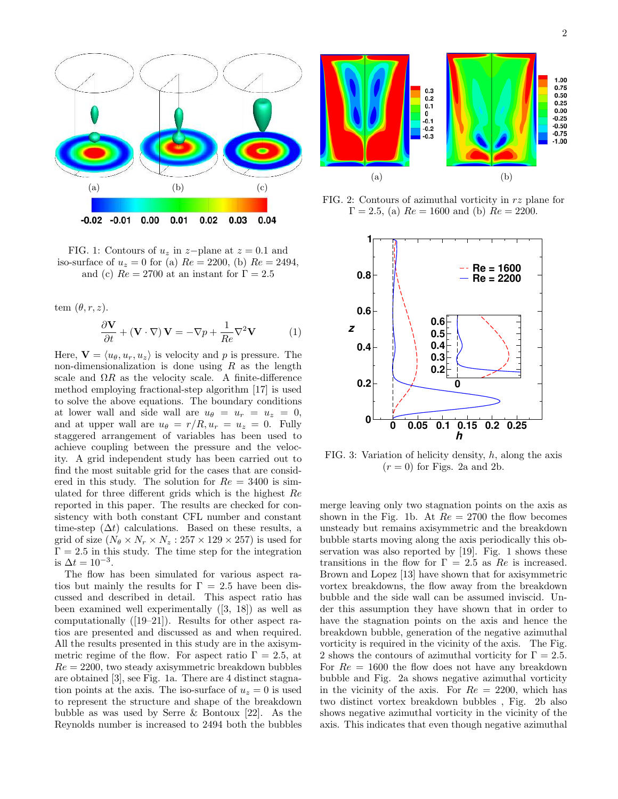

FIG. 1: Contours of  $u_z$  in z-plane at  $z = 0.1$  and iso-surface of  $u_z = 0$  for (a)  $Re = 2200$ , (b)  $Re = 2494$ , and (c)  $Re = 2700$  at an instant for  $\Gamma = 2.5$ 

tem  $(\theta, r, z)$ .

$$
\frac{\partial \mathbf{V}}{\partial t} + (\mathbf{V} \cdot \nabla) \mathbf{V} = -\nabla p + \frac{1}{Re} \nabla^2 \mathbf{V}
$$
 (1)

Here,  $\mathbf{V} = \langle u_{\theta}, u_{r}, u_{z} \rangle$  is velocity and p is pressure. The non-dimensionalization is done using  $R$  as the length scale and  $\Omega R$  as the velocity scale. A finite-difference method employing fractional-step algorithm [17] is used to solve the above equations. The boundary conditions at lower wall and side wall are  $u_{\theta} = u_r = u_z = 0$ , and at upper wall are  $u_{\theta} = r/R, u_r = u_z = 0$ . Fully staggered arrangement of variables has been used to achieve coupling between the pressure and the velocity. A grid independent study has been carried out to find the most suitable grid for the cases that are considered in this study. The solution for  $Re = 3400$  is simulated for three different grids which is the highest Re reported in this paper. The results are checked for consistency with both constant CFL number and constant time-step  $(\Delta t)$  calculations. Based on these results, a grid of size  $(N_\theta \times N_r \times N_z : 257 \times 129 \times 257)$  is used for  $\Gamma = 2.5$  in this study. The time step for the integration is  $\Delta t = 10^{-3}$ .

The flow has been simulated for various aspect ratios but mainly the results for  $\Gamma = 2.5$  have been discussed and described in detail. This aspect ratio has been examined well experimentally ([3, 18]) as well as computationally ([19–21]). Results for other aspect ratios are presented and discussed as and when required. All the results presented in this study are in the axisymmetric regime of the flow. For aspect ratio  $\Gamma = 2.5$ , at  $Re = 2200$ , two steady axisymmetric breakdown bubbles are obtained [3], see Fig. 1a. There are 4 distinct stagnation points at the axis. The iso-surface of  $u_z = 0$  is used to represent the structure and shape of the breakdown bubble as was used by Serre & Bontoux [22]. As the Reynolds number is increased to 2494 both the bubbles



FIG. 2: Contours of azimuthal vorticity in rz plane for  $\Gamma = 2.5$ , (a)  $Re = 1600$  and (b)  $Re = 2200$ .



FIG. 3: Variation of helicity density,  $h$ , along the axis  $(r = 0)$  for Figs. 2a and 2b.

merge leaving only two stagnation points on the axis as shown in the Fig. 1b. At  $Re = 2700$  the flow becomes unsteady but remains axisymmetric and the breakdown bubble starts moving along the axis periodically this observation was also reported by [19]. Fig. 1 shows these transitions in the flow for  $\Gamma = 2.5$  as Re is increased. Brown and Lopez [13] have shown that for axisymmetric vortex breakdowns, the flow away from the breakdown bubble and the side wall can be assumed inviscid. Under this assumption they have shown that in order to have the stagnation points on the axis and hence the breakdown bubble, generation of the negative azimuthal vorticity is required in the vicinity of the axis. The Fig. 2 shows the contours of azimuthal vorticity for  $\Gamma = 2.5$ . For  $Re = 1600$  the flow does not have any breakdown bubble and Fig. 2a shows negative azimuthal vorticity in the vicinity of the axis. For  $Re = 2200$ , which has two distinct vortex breakdown bubbles , Fig. 2b also shows negative azimuthal vorticity in the vicinity of the axis. This indicates that even though negative azimuthal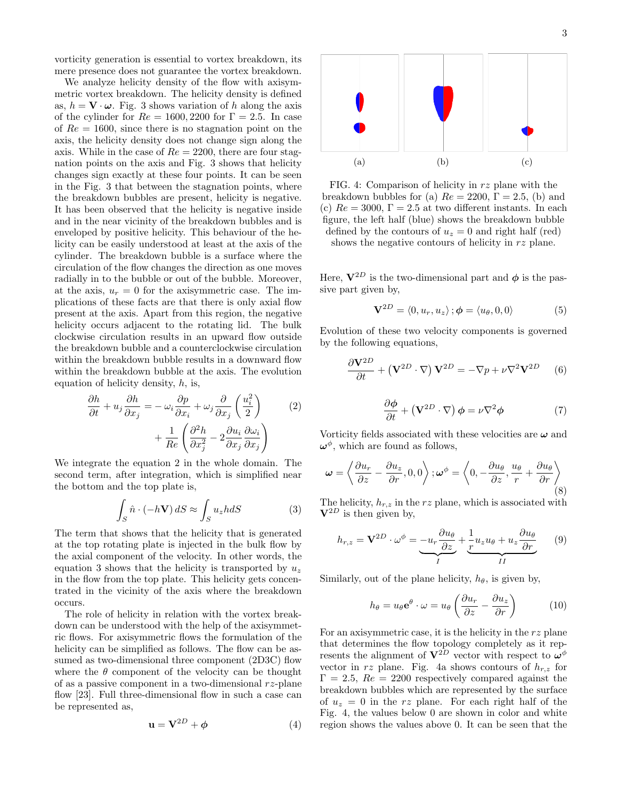vorticity generation is essential to vortex breakdown, its mere presence does not guarantee the vortex breakdown.

We analyze helicity density of the flow with axisymmetric vortex breakdown. The helicity density is defined as,  $h = \mathbf{V} \cdot \boldsymbol{\omega}$ . Fig. 3 shows variation of h along the axis of the cylinder for  $Re = 1600, 2200$  for  $\Gamma = 2.5$ . In case of  $Re = 1600$ , since there is no stagnation point on the axis, the helicity density does not change sign along the axis. While in the case of  $Re = 2200$ , there are four stagnation points on the axis and Fig. 3 shows that helicity changes sign exactly at these four points. It can be seen in the Fig. 3 that between the stagnation points, where the breakdown bubbles are present, helicity is negative. It has been observed that the helicity is negative inside and in the near vicinity of the breakdown bubbles and is enveloped by positive helicity. This behaviour of the helicity can be easily understood at least at the axis of the cylinder. The breakdown bubble is a surface where the circulation of the flow changes the direction as one moves radially in to the bubble or out of the bubble. Moreover, at the axis,  $u_r = 0$  for the axisymmetric case. The implications of these facts are that there is only axial flow present at the axis. Apart from this region, the negative helicity occurs adjacent to the rotating lid. The bulk clockwise circulation results in an upward flow outside the breakdown bubble and a counterclockwise circulation within the breakdown bubble results in a downward flow within the breakdown bubble at the axis. The evolution equation of helicity density,  $h$ , is,

$$
\frac{\partial h}{\partial t} + u_j \frac{\partial h}{\partial x_j} = -\omega_i \frac{\partial p}{\partial x_i} + \omega_j \frac{\partial}{\partial x_j} \left(\frac{u_i^2}{2}\right) + \frac{1}{Re} \left(\frac{\partial^2 h}{\partial x_j^2} - 2 \frac{\partial u_i}{\partial x_j} \frac{\partial u_i}{\partial x_j}\right)
$$
(2)

We integrate the equation 2 in the whole domain. The second term, after integration, which is simplified near the bottom and the top plate is,

$$
\int_{S} \hat{n} \cdot (-h\mathbf{V}) dS \approx \int_{S} u_{z} h dS \tag{3}
$$

The term that shows that the helicity that is generated at the top rotating plate is injected in the bulk flow by the axial component of the velocity. In other words, the equation 3 shows that the helicity is transported by  $u<sub>z</sub>$ in the flow from the top plate. This helicity gets concentrated in the vicinity of the axis where the breakdown occurs.

The role of helicity in relation with the vortex breakdown can be understood with the help of the axisymmetric flows. For axisymmetric flows the formulation of the helicity can be simplified as follows. The flow can be assumed as two-dimensional three component (2D3C) flow where the  $\theta$  component of the velocity can be thought of as a passive component in a two-dimensional  $rz$ -plane flow [23]. Full three-dimensional flow in such a case can be represented as,

$$
\mathbf{u} = \mathbf{V}^{2D} + \boldsymbol{\phi} \tag{4}
$$



FIG. 4: Comparison of helicity in rz plane with the breakdown bubbles for (a)  $Re = 2200$ ,  $\Gamma = 2.5$ , (b) and (c)  $Re = 3000$ ,  $\Gamma = 2.5$  at two different instants. In each figure, the left half (blue) shows the breakdown bubble defined by the contours of  $u_z = 0$  and right half (red) shows the negative contours of helicity in rz plane.

Here,  $V^{2D}$  is the two-dimensional part and  $\phi$  is the passive part given by,

$$
\mathbf{V}^{2D} = \langle 0, u_r, u_z \rangle; \boldsymbol{\phi} = \langle u_{\theta}, 0, 0 \rangle \tag{5}
$$

Evolution of these two velocity components is governed by the following equations,

$$
\frac{\partial \mathbf{V}^{2D}}{\partial t} + (\mathbf{V}^{2D} \cdot \nabla) \mathbf{V}^{2D} = -\nabla p + \nu \nabla^2 \mathbf{V}^{2D} \qquad (6)
$$

$$
\frac{\partial \phi}{\partial t} + (\mathbf{V}^{2D} \cdot \nabla) \phi = \nu \nabla^2 \phi \tag{7}
$$

Vorticity fields associated with these velocities are  $\omega$  and  $\boldsymbol{\omega}^{\phi}$ , which are found as follows,

$$
\boldsymbol{\omega} = \left\langle \frac{\partial u_r}{\partial z} - \frac{\partial u_z}{\partial r}, 0, 0 \right\rangle; \boldsymbol{\omega}^{\phi} = \left\langle 0, -\frac{\partial u_\theta}{\partial z}, \frac{u_\theta}{r} + \frac{\partial u_\theta}{\partial r} \right\rangle
$$
\n(8)

The helicity,  $h_{r,z}$  in the rz plane, which is associated with  $V^{2D}$  is then given by,

$$
h_{r,z} = \mathbf{V}^{2D} \cdot \omega^{\phi} = -u_r \frac{\partial u_{\theta}}{\partial z} + \underbrace{\frac{1}{r} u_z u_{\theta} + u_z \frac{\partial u_{\theta}}{\partial r}}_{II}
$$
(9)

Similarly, out of the plane helicity,  $h_{\theta}$ , is given by,

$$
h_{\theta} = u_{\theta} \mathbf{e}^{\theta} \cdot \omega = u_{\theta} \left( \frac{\partial u_r}{\partial z} - \frac{\partial u_z}{\partial r} \right) \tag{10}
$$

For an axisymmetric case, it is the helicity in the  $rz$  plane that determines the flow topology completely as it represents the alignment of  $V^{2D}$  vector with respect to  $\omega^{\phi}$ vector in rz plane. Fig. 4a shows contours of  $h_{r,z}$  for  $\Gamma = 2.5$ ,  $Re = 2200$  respectively compared against the breakdown bubbles which are represented by the surface of  $u_z = 0$  in the rz plane. For each right half of the Fig. 4, the values below 0 are shown in color and white region shows the values above 0. It can be seen that the